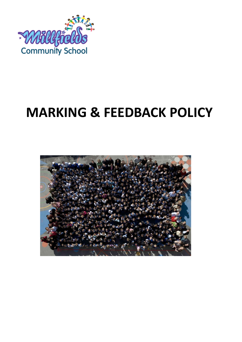

# **MARKING & FEEDBACK POLICY**

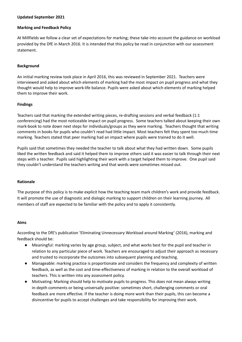#### **Updated September 2021**

#### **Marking and Feedback Policy**

At Millfields we follow a clear set of expectations for marking; these take into account the guidance on workload provided by the DfE in March 2016. It is intended that this policy be read in conjunction with our assessment statement.

## **Background**

An initial marking review took place in April 2016, this was reviewed in September 2021. Teachers were interviewed and asked about which elements of marking had the most impact on pupil progress and what they thought would help to improve work-life balance. Pupils were asked about which elements of marking helped them to improve their work.

## **Findings**

Teachers said that marking the extended writing pieces, re-drafting sessions and verbal feedback (1:1 conferencing) had the most noticeable impact on pupil progress. Some teachers talked about keeping their own mark-book to note down next steps for individuals/groups as they were marking. Teachers thought that writing comments in books for pupils who couldn't read had little impact. Most teachers felt they spent too much time marking. Teachers stated that peer marking had an impact where pupils were trained to do it well.

Pupils said that sometimes they needed the teacher to talk about what they had written down. Some pupils liked the written feedback and said it helped them to improve others said it was easier to talk through their next steps with a teacher. Pupils said highlighting their work with a target helped them to improve. One pupil said they couldn't understand the teachers writing and that words were sometimes missed out.

#### **Rationale**

The purpose of this policy is to make explicit how the teaching team mark children's work and provide feedback. It will promote the use of diagnostic and dialogic marking to support children on their learning journey. All members of staff are expected to be familiar with the policy and to apply it consistently.

#### **Aims**

According to the DfE's publication 'Eliminating Unnecessary Workload around Marking' (2016), marking and feedback should be:

- Meaningful: marking varies by age group, subject, and what works best for the pupil and teacher in relation to any particular piece of work. Teachers are encouraged to adjust their approach as necessary and trusted to incorporate the outcomes into subsequent planning and teaching.
- Manageable: marking practice is proportionate and considers the frequency and complexity of written feedback, as well as the cost and time-effectiveness of marking in relation to the overall workload of teachers. This is written into any assessment policy.
- Motivating: Marking should help to motivate pupils to progress. This does not mean always writing in-depth comments or being universally positive: sometimes short, challenging comments or oral feedback are more effective. If the teacher is doing more work than their pupils, this can become a disincentive for pupils to accept challenges and take responsibility for improving their work.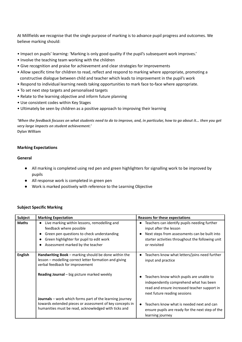At Millfields we recognise that the single purpose of marking is to advance pupil progress and outcomes. We believe marking should:

- Impact on pupils' learning: 'Marking is only good quality if the pupil's subsequent work improves.'
- Involve the teaching team working with the children
- Give recognition and praise for achievement and clear strategies for improvements
- Allow specific time for children to read, reflect and respond to marking where appropriate, promoting a constructive dialogue between child and teacher which leads to improvement in the pupil's work
- Respond to individual learning needs taking opportunities to mark face to-face where appropriate.
- To set next step targets and personalised targets
- Relate to the learning objective and inform future planning
- Use consistent codes within Key Stages
- Ultimately be seen by children as a positive approach to improving their learning

'When the feedback focuses on what students need to do to improve, and, in particular, how to go about it... then you get *very large impacts on student achievement.'* **Dylan William**

#### **Marking Expectations**

#### **General**

- All marking is completed using red pen and green highlighters for signalling work to be improved by pupils
- All response work is completed in green pen
- Work is marked positively with reference to the Learning Objective

#### **Subject Specific Marking**

| Subject        | <b>Marking Expectation</b>                                                                                                                                                                                         | <b>Reasons for these expectations</b>                                                                                                                                                                    |
|----------------|--------------------------------------------------------------------------------------------------------------------------------------------------------------------------------------------------------------------|----------------------------------------------------------------------------------------------------------------------------------------------------------------------------------------------------------|
| <b>Maths</b>   | Live marking within lessons, remodelling and<br>$\bullet$<br>feedback where possible<br>Green pen questions to check understanding<br>Green highlighter for pupil to edit work<br>Assessment marked by the teacher | Teachers can identify pupils needing further<br>input after the lesson<br>Next steps from assessments can be built into<br>$\bullet$<br>starter activities throughout the following unit<br>or revisited |
| <b>English</b> | Handwriting Book – marking should be done within the<br>lesson - modelling correct letter formation and giving<br>verbal feedback for improvement                                                                  | Teachers know what letters/joins need further<br>$\bullet$<br>input and practice                                                                                                                         |
|                | Reading Journal - big picture marked weekly                                                                                                                                                                        | Teachers know which pupils are unable to<br>independently comprehend what has been<br>read and ensure increased teacher support in<br>next future reading sessions                                       |
|                | <b>Journals</b> – work which forms part of the learning journey<br>towards extended pieces or assessment of key concepts in<br>humanities must be read, acknowledged with ticks and                                | Teachers know what is needed next and can<br>$\bullet$<br>ensure pupils are ready for the next step of the<br>learning journey                                                                           |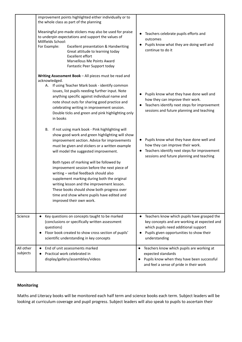|                       | improvement points highlighted either individually or to<br>the whole class as part of the planning                                                                                                                                                                                                                                                                                                                                                                                                                                                                                                                         |                                                                                                                                                                                                       |
|-----------------------|-----------------------------------------------------------------------------------------------------------------------------------------------------------------------------------------------------------------------------------------------------------------------------------------------------------------------------------------------------------------------------------------------------------------------------------------------------------------------------------------------------------------------------------------------------------------------------------------------------------------------------|-------------------------------------------------------------------------------------------------------------------------------------------------------------------------------------------------------|
|                       | Meaningful pre-made stickers may also be used for praise<br>to underpin expectations and support the values of<br>Millfields School:<br>For Example:<br>Excellent presentation & Handwriting<br>Great attitude to learning today<br>Excellent effort<br>Marvellous Me Points Award<br>Fantastic Peer Support today                                                                                                                                                                                                                                                                                                          | Teachers celebrate pupils efforts and<br>$\bullet$<br>outcomes<br>Pupils know what they are doing well and<br>continue to do it                                                                       |
|                       | Writing Assessment Book - All pieces must be read and<br>acknowledged.<br>A. If using Teacher Mark book - identify common<br>issues, list pupils needing further input. Note<br>anything specific against individual name and<br>note shout outs for sharing good practice and<br>celebrating writing in improvement session.<br>Double ticks and green and pink highlighting only                                                                                                                                                                                                                                          | Pupils know what they have done well and<br>how they can improve their work.<br>Teachers identify next steps for improvement<br>sessions and future planning and teaching                             |
|                       | in books<br>If not using mark book - Pink highlighting will<br>В.<br>show good work and green highlighting will show<br>improvement section. Advice for improvements<br>must be given and stickers or a written example<br>will model the suggested improvement.<br>Both types of marking will be followed by<br>improvement session before the next piece of<br>writing - verbal feedback should also<br>supplement marking during both the original<br>writing lesson and the improvement lesson.<br>These books should show both progress over<br>time and show where pupils have edited and<br>improved their own work. | Pupils know what they have done well and<br>how they can improve their work.<br>Teachers identify next steps for improvement<br>$\bullet$<br>sessions and future planning and teaching                |
| Science               | Key questions on concepts taught to be marked<br>(conclusions or specifically written assessment<br>questions)<br>Floor book created to show cross section of pupils'<br>$\bullet$<br>scientific understanding in key concepts                                                                                                                                                                                                                                                                                                                                                                                              | Teachers know which pupils have grasped the<br>٠<br>key concepts and are working at expected and<br>which pupils need additional support<br>Pupils given opportunities to show their<br>understanding |
| All other<br>subjects | End of unit assessments marked<br>$\bullet$<br>Practical work celebrated in<br>display/gallery/assemblies/videos                                                                                                                                                                                                                                                                                                                                                                                                                                                                                                            | Teachers know which pupils are working at<br>$\bullet$<br>expected standards<br>Pupils know when they have been successful<br>and feel a sense of pride in their work                                 |

# **Monitoring**

Maths and Literacy books will be monitored each half term and science books each term. Subject leaders will be looking at curriculum coverage and pupil progress. Subject leaders will also speak to pupils to ascertain their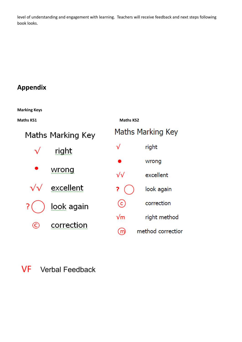level of understanding and engagement with learning. Teachers will receive feedback and next steps following book looks.

# **Appendix**

**Marking Keys**

**Maths KS1 Maths KS2**Maths Marking Key Maths Marking Key right  $\sqrt{}$ right wrong wrong  $\sqrt{}$ excellent excellent look again ?  $_{\odot}$ correction look again right method  $\sqrt{m}$ correction  $\odot$ method correctior ൘

#### VF Verbal Feedback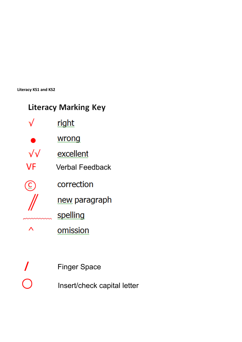**Literacy KS1 and KS2**

|  | Literacy Marking Key |  |
|--|----------------------|--|
|--|----------------------|--|

|      | right           |
|------|-----------------|
|      | wrong           |
| ิ่ง√ | excellent       |
| VF   | Verbal Feedback |
|      | correction      |
|      | new paragraph   |
|      | spelling        |
|      | omission        |
|      |                 |

|            | <b>Finger Space</b>         |
|------------|-----------------------------|
| $\bigcirc$ | Insert/check capital letter |